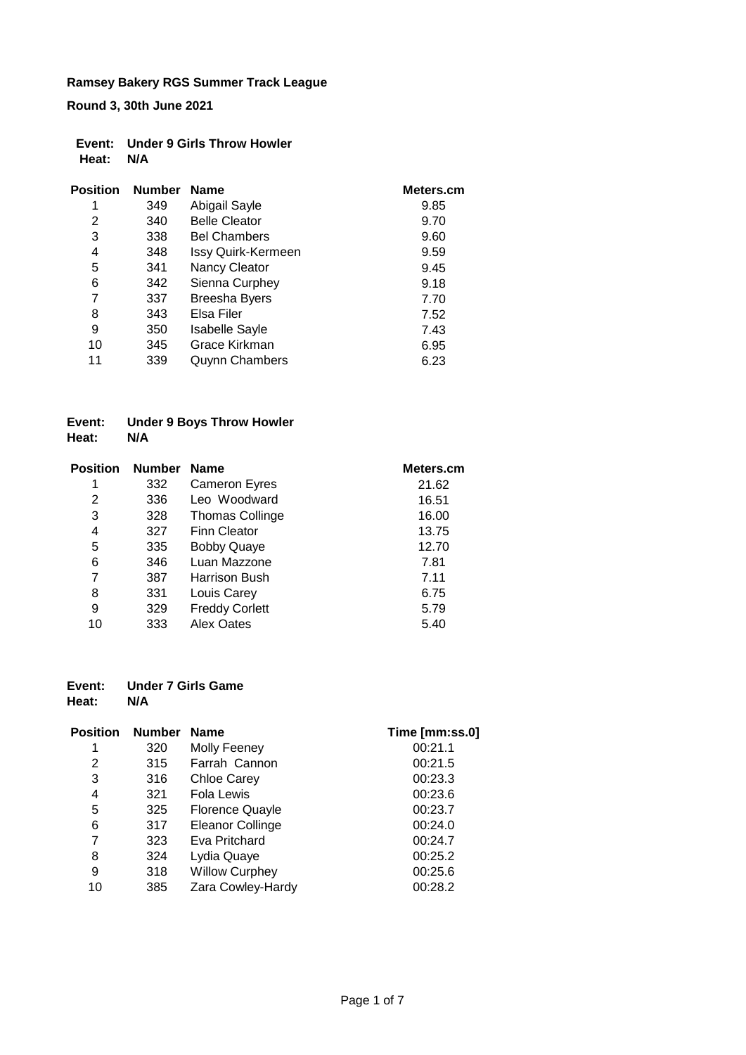**Round 3, 30th June 2021**

|           | Event: Under 9 Girls Throw Howler |
|-----------|-----------------------------------|
| Heat: N/A |                                   |

| <b>Position</b> | <b>Number</b> | <b>Name</b>           | Meters.cm |
|-----------------|---------------|-----------------------|-----------|
| 1               | 349           | Abigail Sayle         | 9.85      |
| 2               | 340           | <b>Belle Cleator</b>  | 9.70      |
| 3               | 338           | <b>Bel Chambers</b>   | 9.60      |
| 4               | 348           | Issy Quirk-Kermeen    | 9.59      |
| 5               | 341           | <b>Nancy Cleator</b>  | 9.45      |
| 6               | 342           | Sienna Curphey        | 9.18      |
| 7               | 337           | <b>Breesha Byers</b>  | 7.70      |
| 8               | 343           | Elsa Filer            | 7.52      |
| 9               | 350           | <b>Isabelle Sayle</b> | 7.43      |
| 10              | 345           | Grace Kirkman         | 6.95      |
| 11              | 339           | <b>Quynn Chambers</b> | 6.23      |

#### **Event: Under 9 Boys Throw Howler Heat: N/A**

| <b>Position</b> | <b>Number</b> | <b>Name</b>            | Meters.cm |
|-----------------|---------------|------------------------|-----------|
| 1               | 332           | <b>Cameron Eyres</b>   | 21.62     |
| 2               | 336           | Leo Woodward           | 16.51     |
| 3               | 328           | <b>Thomas Collinge</b> | 16.00     |
| 4               | 327           | Finn Cleator           | 13.75     |
| 5               | 335           | <b>Bobby Quaye</b>     | 12.70     |
| 6               | 346           | Luan Mazzone           | 7.81      |
| 7               | 387           | Harrison Bush          | 7.11      |
| 8               | 331           | Louis Carey            | 6.75      |
| 9               | 329           | <b>Freddy Corlett</b>  | 5.79      |
| 10              | 333           | Alex Oates             | 5.40      |

#### **Event: Under 7 Girls Game Heat:**

| <b>Position</b> | <b>Number</b> | <b>Name</b>             | Time [mm:ss.0] |
|-----------------|---------------|-------------------------|----------------|
|                 | 320           | Molly Feeney            | 00:21.1        |
| 2               | 315           | Farrah Cannon           | 00:21.5        |
| 3               | 316           | <b>Chloe Carey</b>      | 00:23.3        |
| 4               | 321           | <b>Fola Lewis</b>       | 00:23.6        |
| 5               | 325           | <b>Florence Quayle</b>  | 00:23.7        |
| 6               | 317           | <b>Eleanor Collinge</b> | 00:24.0        |
| 7               | 323           | Eva Pritchard           | 00:24.7        |
| 8               | 324           | Lydia Quaye             | 00:25.2        |
| 9               | 318           | <b>Willow Curphey</b>   | 00:25.6        |
| 10              | 385           | Zara Cowley-Hardy       | 00:28.2        |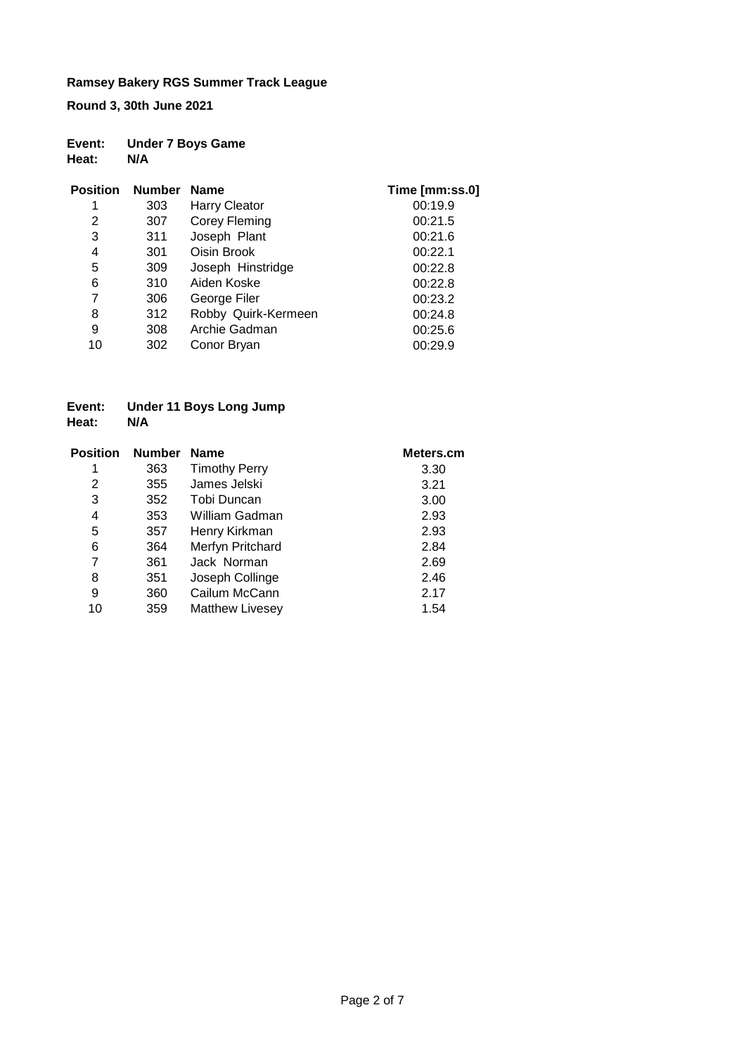**Round 3, 30th June 2021**

| Event: | <b>Under 7 Boys Game</b> |
|--------|--------------------------|
| Heat:  | N/A                      |

| <b>Position</b> | <b>Number</b> | <b>Name</b>          | Time [mm:ss.0] |
|-----------------|---------------|----------------------|----------------|
| 1               | 303           | <b>Harry Cleator</b> | 00:19.9        |
| 2               | 307           | Corey Fleming        | 00:21.5        |
| 3               | 311           | Joseph Plant         | 00:21.6        |
| 4               | 301           | Oisin Brook          | 00:22.1        |
| 5               | 309           | Joseph Hinstridge    | 00:22.8        |
| 6               | 310           | Aiden Koske          | 00:22.8        |
| 7               | 306           | George Filer         | 00:23.2        |
| 8               | 312           | Robby Quirk-Kermeen  | 00:24.8        |
| 9               | 308           | Archie Gadman        | 00:25.6        |
| 10              | 302           | Conor Bryan          | 00:29.9        |

#### **Event: Under 11 Boys Long Jump Heat:**

| <b>Position</b> | <b>Number</b> | <b>Name</b>            | Meters.cm |
|-----------------|---------------|------------------------|-----------|
| 1               | 363           | <b>Timothy Perry</b>   | 3.30      |
| 2               | 355           | James Jelski           | 3.21      |
| 3               | 352           | Tobi Duncan            | 3.00      |
| 4               | 353           | William Gadman         | 2.93      |
| 5               | 357           | Henry Kirkman          | 2.93      |
| 6               | 364           | Merfyn Pritchard       | 2.84      |
| 7               | 361           | Jack Norman            | 2.69      |
| 8               | 351           | Joseph Collinge        | 2.46      |
| 9               | 360           | Cailum McCann          | 2.17      |
| 10              | 359           | <b>Matthew Livesey</b> | 1.54      |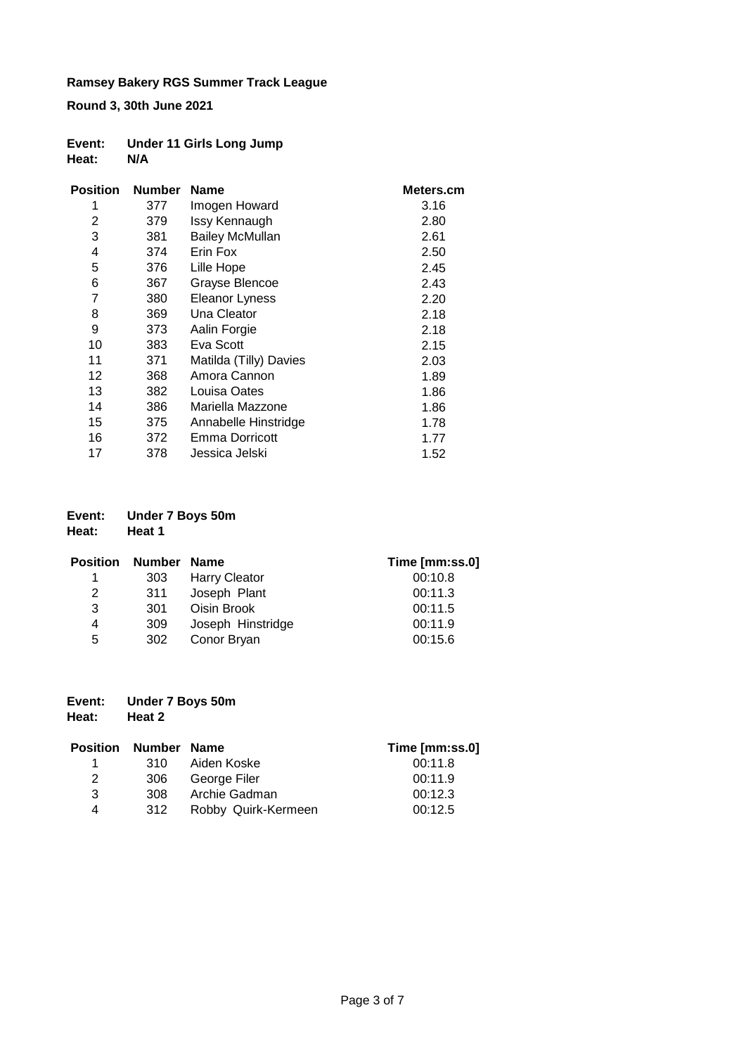**Round 3, 30th June 2021**

| Event: | <b>Under 11 Girls Long Jump</b> |
|--------|---------------------------------|
| Heat:  | N/A                             |

| <b>Position</b> | <b>Number</b> | <b>Name</b>            | Meters.cm |
|-----------------|---------------|------------------------|-----------|
| 1               | 377           | Imogen Howard          | 3.16      |
| 2               | 379           | Issy Kennaugh          | 2.80      |
| 3               | 381           | <b>Bailey McMullan</b> | 2.61      |
| 4               | 374           | Erin Fox               | 2.50      |
| 5               | 376           | Lille Hope             | 2.45      |
| 6               | 367           | Grayse Blencoe         | 2.43      |
| 7               | 380           | <b>Eleanor Lyness</b>  | 2.20      |
| 8               | 369           | Una Cleator            | 2.18      |
| 9               | 373           | Aalin Forgie           | 2.18      |
| 10              | 383           | Eva Scott              | 2.15      |
| 11              | 371           | Matilda (Tilly) Davies | 2.03      |
| 12              | 368           | Amora Cannon           | 1.89      |
| 13              | 382           | Louisa Oates           | 1.86      |
| 14              | 386           | Mariella Mazzone       | 1.86      |
| 15              | 375           | Annabelle Hinstridge   | 1.78      |
| 16              | 372           | Emma Dorricott         | 1.77      |
| 17              | 378           | Jessica Jelski         | 1.52      |

| Event: | <b>Under 7 Boys 50m</b> |
|--------|-------------------------|
|        |                         |

**Heat: Heat 1**

| <b>Position</b> | Number Name |                      | Time [mm:ss.0] |
|-----------------|-------------|----------------------|----------------|
| 1.              | 303         | <b>Harry Cleator</b> | 00:10.8        |
| 2               | 311         | Joseph Plant         | 00:11.3        |
| 3               | 301         | Oisin Brook          | 00:11.5        |
| 4               | 309         | Joseph Hinstridge    | 00:11.9        |
| 5               | 302         | Conor Bryan          | 00:15.6        |

| Event: |  | <b>Under 7 Boys 50m</b> |
|--------|--|-------------------------|
|--------|--|-------------------------|

```
Heat: Heat 2
```

| <b>Position</b> | Number Name |                     | Time [mm:ss.0] |
|-----------------|-------------|---------------------|----------------|
| 1               | 310.        | Aiden Koske         | 00:11.8        |
| 2               | 306         | George Filer        | 00:11.9        |
| 3               | 308         | Archie Gadman       | 00:12.3        |
| 4               | 312         | Robby Quirk-Kermeen | 00:12.5        |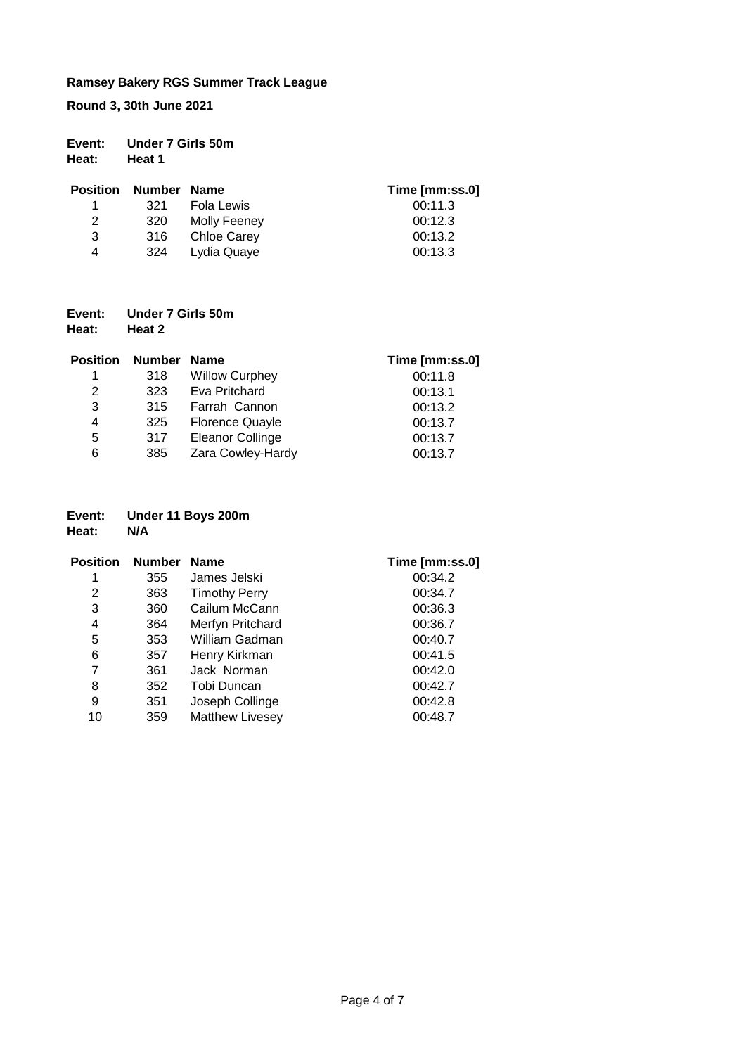**Round 3, 30th June 2021**

| Event: | Under 7 Girls 50m |
|--------|-------------------|
| Heat:  | Heat 1            |

| <b>Position</b> | Number Name |              | Time [mm:ss.0] |
|-----------------|-------------|--------------|----------------|
| 1.              | 321         | Fola Lewis   | 00:11.3        |
| 2               | 320         | Molly Feeney | 00:12.3        |
| 3               | -316        | Chloe Carey  | 00:13.2        |
| 4               | 324         | Lydia Quaye  | 00:13.3        |

| Event: | Under 7 Girls 50m |
|--------|-------------------|
| Heat:  | Heat 2            |

| <b>Position</b> | <b>Number</b> | <b>Name</b>             | Time [mm:ss.0] |
|-----------------|---------------|-------------------------|----------------|
| 1               | 318           | <b>Willow Curphey</b>   | 00:11.8        |
| 2               | 323           | Eva Pritchard           | 00:13.1        |
| 3               | 315           | Farrah Cannon           | 00:13.2        |
| 4               | 325           | <b>Florence Quayle</b>  | 00:13.7        |
| 5               | 317           | <b>Eleanor Collinge</b> | 00:13.7        |
| 6               | 385           | Zara Cowley-Hardy       | 00:13.7        |

# **Event: Under 11 Boys 200m**

**Heat:** 

| <b>Position</b> | <b>Number</b> | <b>Name</b>            | Time [mm:ss.0] |
|-----------------|---------------|------------------------|----------------|
|                 | 355           | James Jelski           | 00:34.2        |
| 2               | 363           | <b>Timothy Perry</b>   | 00:34.7        |
| 3               | 360           | Cailum McCann          | 00:36.3        |
| 4               | 364           | Merfyn Pritchard       | 00:36.7        |
| 5               | 353           | William Gadman         | 00:40.7        |
| 6               | 357           | Henry Kirkman          | 00:41.5        |
| 7               | 361           | Jack Norman            | 00:42.0        |
| 8               | 352           | Tobi Duncan            | 00:42.7        |
| 9               | 351           | Joseph Collinge        | 00:42.8        |
| 10              | 359           | <b>Matthew Livesey</b> | 00:48.7        |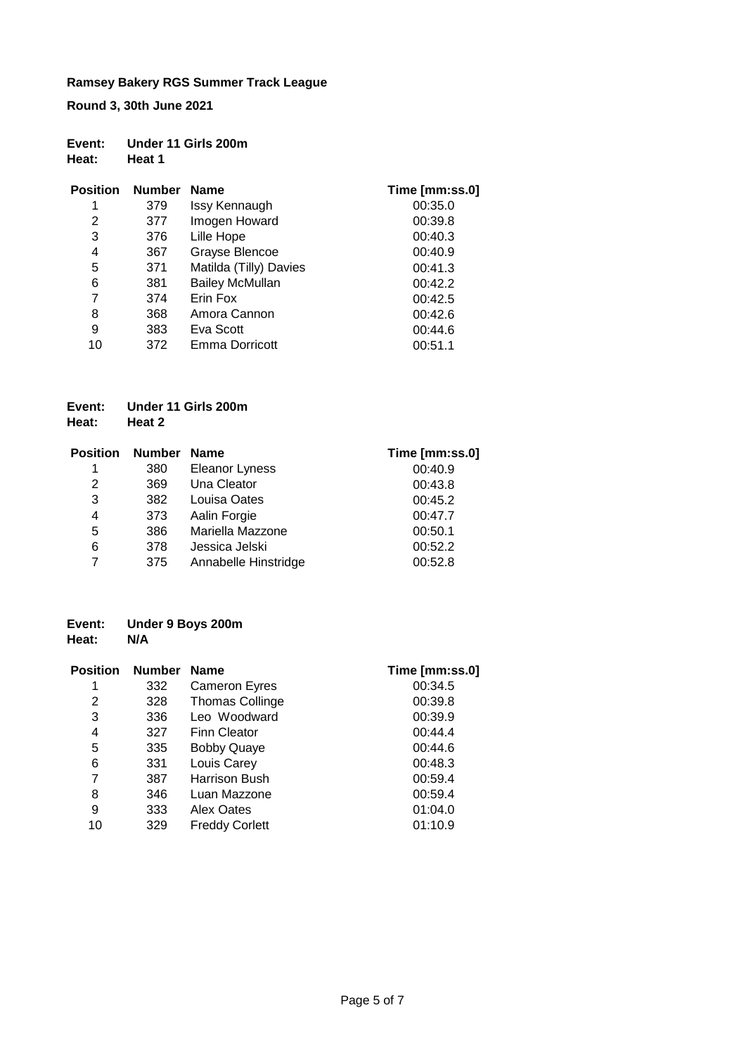**Round 3, 30th June 2021**

| Event: | Under 11 Girls 200m |  |
|--------|---------------------|--|
| Heat:  | <b>Heat 1</b>       |  |

| <b>Position</b> | <b>Number</b> | <b>Name</b>            | Time [mm:ss.0] |
|-----------------|---------------|------------------------|----------------|
| 1               | 379           | Issy Kennaugh          | 00:35.0        |
| 2               | 377           | Imogen Howard          | 00:39.8        |
| 3               | 376           | Lille Hope             | 00:40.3        |
| 4               | 367           | Grayse Blencoe         | 00:40.9        |
| 5               | 371           | Matilda (Tilly) Davies | 00:41.3        |
| 6               | 381           | <b>Bailey McMullan</b> | 00:42.2        |
| 7               | 374           | Erin Fox               | 00:42.5        |
| 8               | 368           | Amora Cannon           | 00:42.6        |
| 9               | 383           | Eva Scott              | 00:44.6        |
| 10              | 372           | Emma Dorricott         | 00:51.1        |

#### **Event: Under 11 Girls 200m Heat: Heat 2**

| <b>Position</b> | <b>Number</b> | <b>Name</b>          | Time [mm:ss.0] |
|-----------------|---------------|----------------------|----------------|
| 1               | 380           | Eleanor Lyness       | 00:40.9        |
| 2               | 369           | Una Cleator          | 00:43.8        |
| 3               | 382           | Louisa Oates         | 00:45.2        |
| 4               | 373           | Aalin Forgie         | 00:47.7        |
| 5               | 386           | Mariella Mazzone     | 00:50.1        |
| 6               | 378           | Jessica Jelski       | 00:52.2        |
| 7               | 375           | Annabelle Hinstridge | 00:52.8        |

#### **Event: Under 9 Boys 200m Heat:**

| <b>Position</b> | <b>Number</b> | <b>Name</b>            | Time [mm:ss.0] |
|-----------------|---------------|------------------------|----------------|
| 1               | 332           | <b>Cameron Eyres</b>   | 00:34.5        |
| 2               | 328           | <b>Thomas Collinge</b> | 00:39.8        |
| 3               | 336           | Leo Woodward           | 00:39.9        |
| 4               | 327           | Finn Cleator           | 00:44.4        |
| 5               | 335           | <b>Bobby Quaye</b>     | 00:44.6        |
| 6               | 331           | Louis Carey            | 00:48.3        |
| 7               | 387           | Harrison Bush          | 00:59.4        |
| 8               | 346           | Luan Mazzone           | 00:59.4        |
| 9               | 333           | Alex Oates             | 01:04.0        |
| 10              | 329           | <b>Freddy Corlett</b>  | 01:10.9        |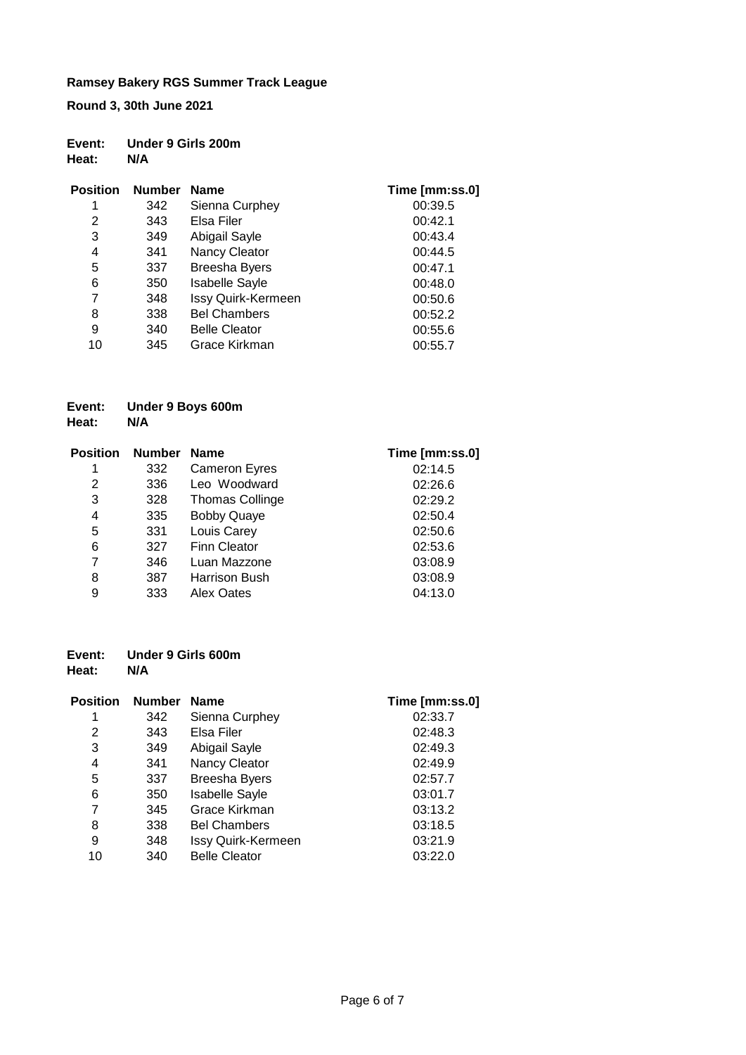**Round 3, 30th June 2021**

| Event: | Under 9 Girls 200m |
|--------|--------------------|
| Heat:  | N/A                |

| <b>Position</b> | <b>Number</b> | <b>Name</b>           | Time [mm:ss.0] |
|-----------------|---------------|-----------------------|----------------|
| 1               | 342           | Sienna Curphey        | 00:39.5        |
| 2               | 343           | Elsa Filer            | 00:42.1        |
| 3               | 349           | Abigail Sayle         | 00:43.4        |
| 4               | 341           | Nancy Cleator         | 00:44.5        |
| 5               | 337           | <b>Breesha Byers</b>  | 00:47.1        |
| 6               | 350           | <b>Isabelle Sayle</b> | 00:48.0        |
| 7               | 348           | Issy Quirk-Kermeen    | 00:50.6        |
| 8               | 338           | <b>Bel Chambers</b>   | 00:52.2        |
| 9               | 340           | <b>Belle Cleator</b>  | 00:55.6        |
| 10              | 345           | Grace Kirkman         | 00:55.7        |

#### **Event: Under 9 Boys 600m Heat:**

| <b>Position</b> | <b>Number</b> | <b>Name</b>            | Time [mm:ss.0] |
|-----------------|---------------|------------------------|----------------|
| 1               | 332           | <b>Cameron Eyres</b>   | 02:14.5        |
| 2               | 336           | Leo Woodward           | 02:26.6        |
| 3               | 328           | <b>Thomas Collinge</b> | 02:29.2        |
| 4               | 335           | <b>Bobby Quaye</b>     | 02:50.4        |
| 5               | 331           | Louis Carey            | 02:50.6        |
| 6               | 327           | <b>Finn Cleator</b>    | 02:53.6        |
| 7               | 346           | Luan Mazzone           | 03:08.9        |
| 8               | 387           | <b>Harrison Bush</b>   | 03:08.9        |
| 9               | 333           | <b>Alex Oates</b>      | 04:13.0        |

#### **Event: Under 9 Girls 600m Heat:**

| <b>Position</b> | <b>Number</b> | <b>Name</b>           | Time [mm:ss.0] |
|-----------------|---------------|-----------------------|----------------|
| 1               | 342           | Sienna Curphey        | 02:33.7        |
| 2               | 343           | Elsa Filer            | 02:48.3        |
| 3               | 349           | Abigail Sayle         | 02:49.3        |
| 4               | 341           | Nancy Cleator         | 02:49.9        |
| 5               | 337           | <b>Breesha Byers</b>  | 02:57.7        |
| 6               | 350           | <b>Isabelle Sayle</b> | 03:01.7        |
| 7               | 345           | Grace Kirkman         | 03:13.2        |
| 8               | 338           | <b>Bel Chambers</b>   | 03:18.5        |
| 9               | 348           | Issy Quirk-Kermeen    | 03:21.9        |
| 10              | 340           | <b>Belle Cleator</b>  | 03:22.0        |